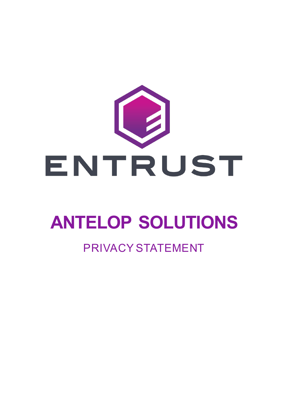

# **ANTELOP SOLUTIONS**

### PRIVACY STATEMENT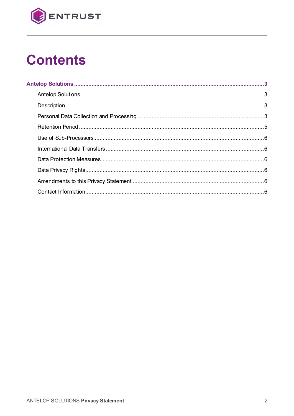

# **Contents**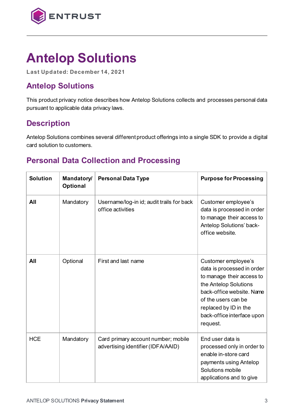

## **Antelop Solutions**

**Last Updated: December 14, 2021**

#### **Antelop Solutions**

This product privacy notice describes how Antelop Solutions collects and processes personal data pursuant to applicable data privacy laws.

#### **Description**

Antelop Solutions combines several different product offerings into a single SDK to provide a digital card solution to customers.

#### **Personal Data Collection and Processing**

| <b>Solution</b> | <b>Mandatory/</b><br><b>Optional</b> | <b>Personal Data Type</b>                                                 | <b>Purpose for Processing</b>                                                                                                                                                                                                  |
|-----------------|--------------------------------------|---------------------------------------------------------------------------|--------------------------------------------------------------------------------------------------------------------------------------------------------------------------------------------------------------------------------|
| All             | Mandatory                            | Username/log-in id; audit trails for back<br>office activities            | Customer employee's<br>data is processed in order<br>to manage their access to<br>Antelop Solutions' back-<br>office website.                                                                                                  |
| All             | Optional                             | First and last name                                                       | Customer employee's<br>data is processed in order<br>to manage their access to<br>the Antelop Solutions<br>back-office website. Name<br>of the users can be<br>replaced by ID in the<br>back-office interface upon<br>request. |
| <b>HCE</b>      | Mandatory                            | Card primary account number; mobile<br>advertising identifier (IDFA/AAID) | End user data is<br>processed only in order to<br>enable in-store card<br>payments using Antelop<br>Solutions mobile<br>applications and to give                                                                               |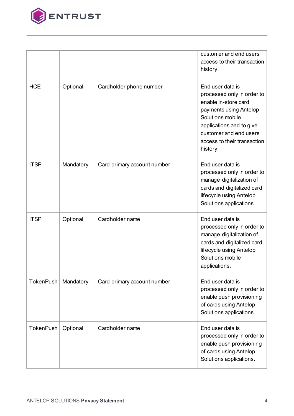

|                  |           |                             | customer and end users<br>access to their transaction<br>history.                                                                                                                                                     |
|------------------|-----------|-----------------------------|-----------------------------------------------------------------------------------------------------------------------------------------------------------------------------------------------------------------------|
| <b>HCE</b>       | Optional  | Cardholder phone number     | End user data is<br>processed only in order to<br>enable in-store card<br>payments using Antelop<br>Solutions mobile<br>applications and to give<br>customer and end users<br>access to their transaction<br>history. |
| <b>ITSP</b>      | Mandatory | Card primary account number | End user data is<br>processed only in order to<br>manage digitalization of<br>cards and digitalized card<br>lifecycle using Antelop<br>Solutions applications.                                                        |
| <b>ITSP</b>      | Optional  | Cardholder name             | End user data is<br>processed only in order to<br>manage digitalization of<br>cards and digitalized card<br>lifecycle using Antelop<br>Solutions mobile<br>applications.                                              |
| <b>TokenPush</b> | Mandatory | Card primary account number | End user data is<br>processed only in order to<br>enable push provisioning<br>of cards using Antelop<br>Solutions applications.                                                                                       |
| <b>TokenPush</b> | Optional  | Cardholder name             | End user data is<br>processed only in order to<br>enable push provisioning<br>of cards using Antelop<br>Solutions applications.                                                                                       |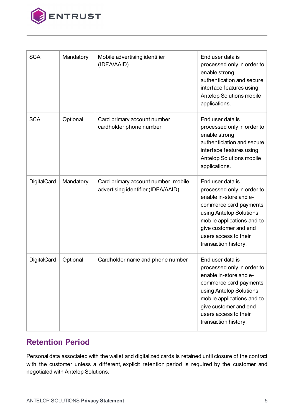

| <b>SCA</b>         | Mandatory | Mobile advertising identifier<br>(IDFA/AAID)                              | End user data is<br>processed only in order to<br>enable strong<br>authentication and secure<br>interface features using<br>Antelop Solutions mobile<br>applications.                                                                 |
|--------------------|-----------|---------------------------------------------------------------------------|---------------------------------------------------------------------------------------------------------------------------------------------------------------------------------------------------------------------------------------|
| <b>SCA</b>         | Optional  | Card primary account number;<br>cardholder phone number                   | End user data is<br>processed only in order to<br>enable strong<br>authenticiation and secure<br>interface features using<br><b>Antelop Solutions mobile</b><br>applications.                                                         |
| <b>DigitalCard</b> | Mandatory | Card primary account number; mobile<br>advertising identifier (IDFA/AAID) | End user data is<br>processed only in order to<br>enable in-store and e-<br>commerce card payments<br>using Antelop Solutions<br>mobile applications and to<br>give customer and end<br>users access to their<br>transaction history. |
| <b>DigitalCard</b> | Optional  | Cardholder name and phone number                                          | End user data is<br>processed only in order to<br>enable in-store and e-<br>commerce card payments<br>using Antelop Solutions<br>mobile applications and to<br>give customer and end<br>users access to their<br>transaction history. |

#### **Retention Period**

Personal data associated with the wallet and digitalized cards is retained until closure of the contract with the customer unless a different, explicit retention period is required by the customer and negotiated with Antelop Solutions.